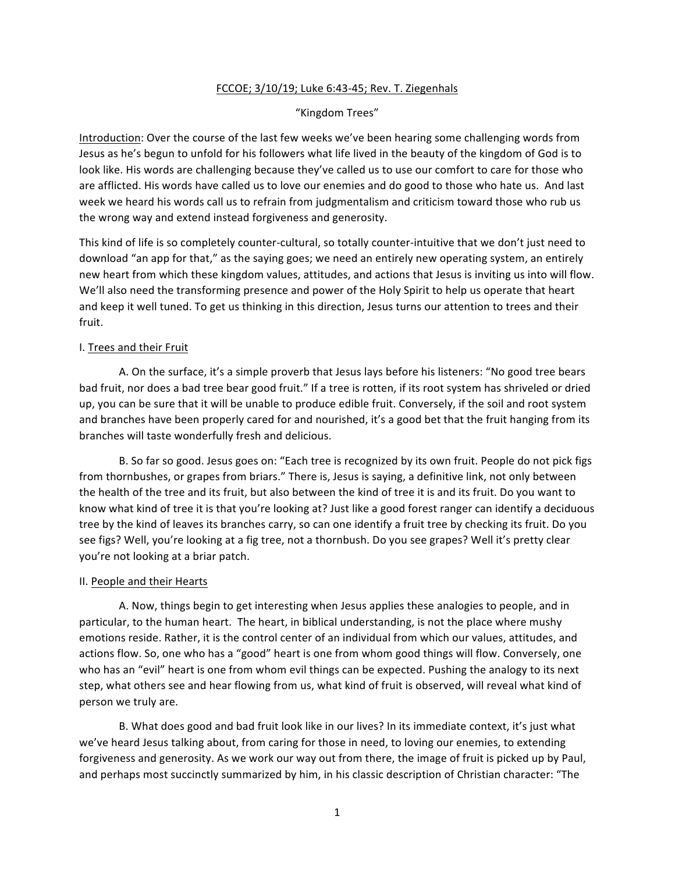# FCCOE; 3/10/19; Luke 6:43-45; Rev. T. Ziegenhals

#### "Kingdom Trees"

Introduction: Over the course of the last few weeks we've been hearing some challenging words from Jesus as he's begun to unfold for his followers what life lived in the beauty of the kingdom of God is to look like. His words are challenging because they've called us to use our comfort to care for those who are afflicted. His words have called us to love our enemies and do good to those who hate us. And last week we heard his words call us to refrain from judgmentalism and criticism toward those who rub us the wrong way and extend instead forgiveness and generosity.

This kind of life is so completely counter-cultural, so totally counter-intuitive that we don't just need to download "an app for that," as the saying goes; we need an entirely new operating system, an entirely new heart from which these kingdom values, attitudes, and actions that Jesus is inviting us into will flow. We'll also need the transforming presence and power of the Holy Spirit to help us operate that heart and keep it well tuned. To get us thinking in this direction, Jesus turns our attention to trees and their fruit. 

## I. Trees and their Fruit

A. On the surface, it's a simple proverb that Jesus lays before his listeners: "No good tree bears bad fruit, nor does a bad tree bear good fruit." If a tree is rotten, if its root system has shriveled or dried up, you can be sure that it will be unable to produce edible fruit. Conversely, if the soil and root system and branches have been properly cared for and nourished, it's a good bet that the fruit hanging from its branches will taste wonderfully fresh and delicious.

B. So far so good. Jesus goes on: "Each tree is recognized by its own fruit. People do not pick figs from thornbushes, or grapes from briars." There is, Jesus is saying, a definitive link, not only between the health of the tree and its fruit, but also between the kind of tree it is and its fruit. Do you want to know what kind of tree it is that you're looking at? Just like a good forest ranger can identify a deciduous tree by the kind of leaves its branches carry, so can one identify a fruit tree by checking its fruit. Do you see figs? Well, you're looking at a fig tree, not a thornbush. Do you see grapes? Well it's pretty clear you're not looking at a briar patch.

#### II. People and their Hearts

A. Now, things begin to get interesting when Jesus applies these analogies to people, and in particular, to the human heart. The heart, in biblical understanding, is not the place where mushy emotions reside. Rather, it is the control center of an individual from which our values, attitudes, and actions flow. So, one who has a "good" heart is one from whom good things will flow. Conversely, one who has an "evil" heart is one from whom evil things can be expected. Pushing the analogy to its next step, what others see and hear flowing from us, what kind of fruit is observed, will reveal what kind of person we truly are.

B. What does good and bad fruit look like in our lives? In its immediate context, it's just what we've heard Jesus talking about, from caring for those in need, to loving our enemies, to extending forgiveness and generosity. As we work our way out from there, the image of fruit is picked up by Paul, and perhaps most succinctly summarized by him, in his classic description of Christian character: "The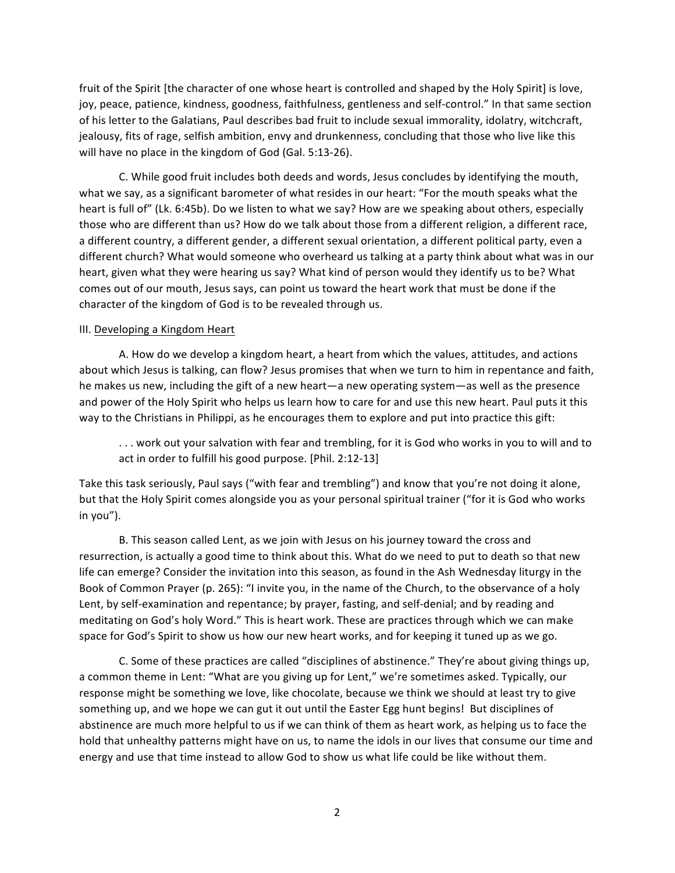fruit of the Spirit [the character of one whose heart is controlled and shaped by the Holy Spirit] is love, joy, peace, patience, kindness, goodness, faithfulness, gentleness and self-control." In that same section of his letter to the Galatians, Paul describes bad fruit to include sexual immorality, idolatry, witchcraft, jealousy, fits of rage, selfish ambition, envy and drunkenness, concluding that those who live like this will have no place in the kingdom of God (Gal. 5:13-26).

C. While good fruit includes both deeds and words, Jesus concludes by identifying the mouth, what we say, as a significant barometer of what resides in our heart: "For the mouth speaks what the heart is full of" (Lk. 6:45b). Do we listen to what we say? How are we speaking about others, especially those who are different than us? How do we talk about those from a different religion, a different race, a different country, a different gender, a different sexual orientation, a different political party, even a different church? What would someone who overheard us talking at a party think about what was in our heart, given what they were hearing us say? What kind of person would they identify us to be? What comes out of our mouth, Jesus says, can point us toward the heart work that must be done if the character of the kingdom of God is to be revealed through us.

## III. Developing a Kingdom Heart

A. How do we develop a kingdom heart, a heart from which the values, attitudes, and actions about which Jesus is talking, can flow? Jesus promises that when we turn to him in repentance and faith, he makes us new, including the gift of a new heart—a new operating system—as well as the presence and power of the Holy Spirit who helps us learn how to care for and use this new heart. Paul puts it this way to the Christians in Philippi, as he encourages them to explore and put into practice this gift:

... work out your salvation with fear and trembling, for it is God who works in you to will and to act in order to fulfill his good purpose. [Phil. 2:12-13]

Take this task seriously, Paul says ("with fear and trembling") and know that you're not doing it alone, but that the Holy Spirit comes alongside you as your personal spiritual trainer ("for it is God who works in you").

B. This season called Lent, as we join with Jesus on his journey toward the cross and resurrection, is actually a good time to think about this. What do we need to put to death so that new life can emerge? Consider the invitation into this season, as found in the Ash Wednesday liturgy in the Book of Common Prayer (p. 265): "I invite you, in the name of the Church, to the observance of a holy Lent, by self-examination and repentance; by prayer, fasting, and self-denial; and by reading and meditating on God's holy Word." This is heart work. These are practices through which we can make space for God's Spirit to show us how our new heart works, and for keeping it tuned up as we go.

C. Some of these practices are called "disciplines of abstinence." They're about giving things up, a common theme in Lent: "What are you giving up for Lent," we're sometimes asked. Typically, our response might be something we love, like chocolate, because we think we should at least try to give something up, and we hope we can gut it out until the Easter Egg hunt begins! But disciplines of abstinence are much more helpful to us if we can think of them as heart work, as helping us to face the hold that unhealthy patterns might have on us, to name the idols in our lives that consume our time and energy and use that time instead to allow God to show us what life could be like without them.